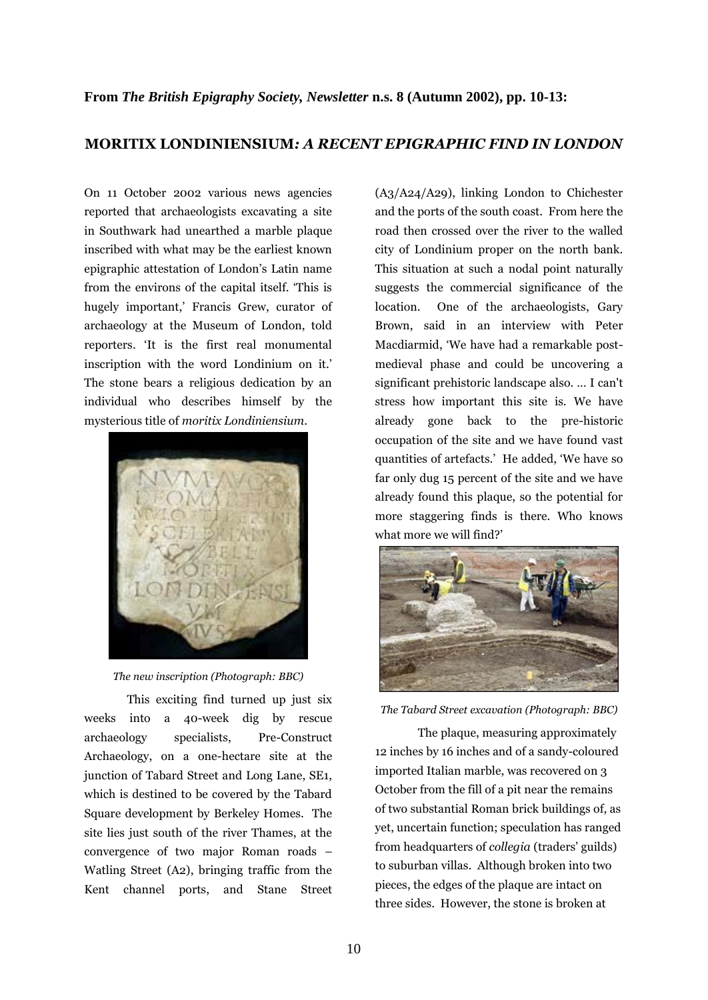## **MORITIX LONDINIENSIUM***: A RECENT EPIGRAPHIC FIND IN LONDON*

On 11 October 2002 various news agencies reported that archaeologists excavating a site in Southwark had unearthed a marble plaque inscribed with what may be the earliest known epigraphic attestation of London's Latin name from the environs of the capital itself. 'This is hugely important,' Francis Grew, curator of archaeology at the Museum of London, told reporters. 'It is the first real monumental inscription with the word Londinium on it.' The stone bears a religious dedication by an individual who describes himself by the mysterious title of *moritix Londiniensium*.



*The new inscription (Photograph: BBC)*

This exciting find turned up just six weeks into a 40-week dig by rescue archaeology specialists, Pre-Construct Archaeology, on a one-hectare site at the junction of Tabard Street and Long Lane, SE1, which is destined to be covered by the Tabard Square development by Berkeley Homes. The site lies just south of the river Thames, at the convergence of two major Roman roads – Watling Street (A2), bringing traffic from the Kent channel ports, and Stane Street (A3/A24/A29), linking London to Chichester and the ports of the south coast. From here the road then crossed over the river to the walled city of Londinium proper on the north bank. This situation at such a nodal point naturally suggests the commercial significance of the location. One of the archaeologists, Gary Brown, said in an interview with Peter Macdiarmid, 'We have had a remarkable postmedieval phase and could be uncovering a significant prehistoric landscape also. … I can't stress how important this site is. We have already gone back to the pre-historic occupation of the site and we have found vast quantities of artefacts.' He added, 'We have so far only dug 15 percent of the site and we have already found this plaque, so the potential for more staggering finds is there. Who knows what more we will find?'



*The Tabard Street excavation (Photograph: BBC)*

The plaque, measuring approximately 12 inches by 16 inches and of a sandy-coloured imported Italian marble, was recovered on 3 October from the fill of a pit near the remains of two substantial Roman brick buildings of, as yet, uncertain function; speculation has ranged from headquarters of *collegia* (traders' guilds) to suburban villas. Although broken into two pieces, the edges of the plaque are intact on three sides. However, the stone is broken at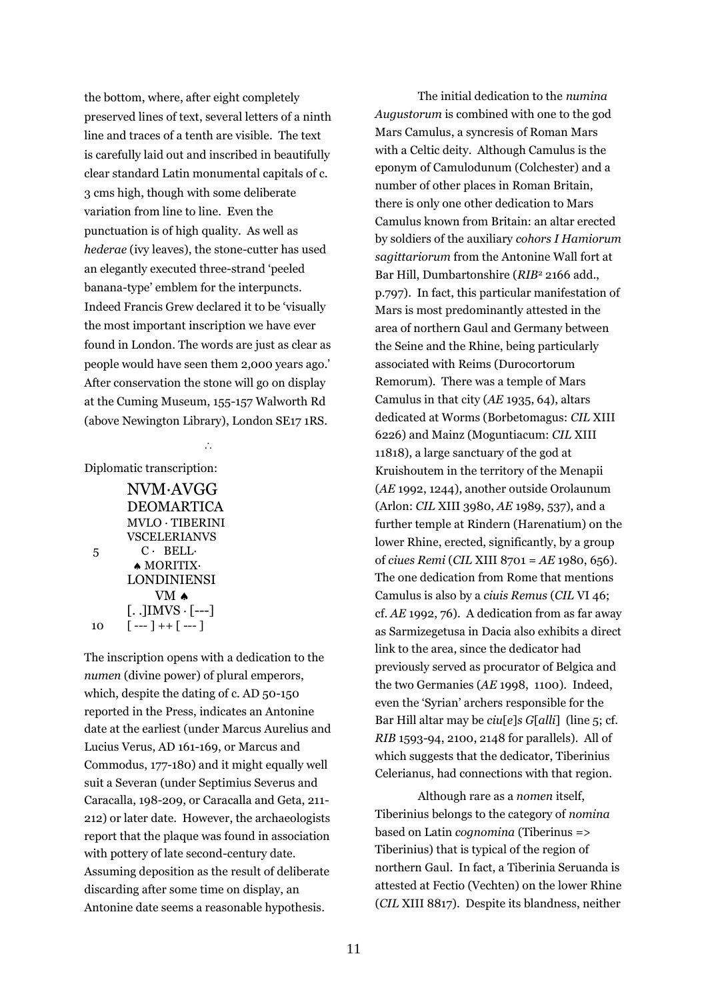the bottom, where, after eight completely preserved lines of text, several letters of a ninth line and traces of a tenth are visible. The text is carefully laid out and inscribed in beautifully clear standard Latin monumental capitals of c. 3 cms high, though with some deliberate variation from line to line. Even the punctuation is of high quality. As well as *hederae* (ivy leaves), the stone-cutter has used an elegantly executed three-strand 'peeled banana-type' emblem for the interpuncts. Indeed Francis Grew declared it to be 'visually the most important inscription we have ever found in London. The words are just as clear as people would have seen them 2,000 years ago.' After conservation the stone will go on display at the Cuming Museum, 155-157 Walworth Rd (above Newington Library), London SE17 1RS.

## $\langle \cdot \rangle$

Diplomatic transcription:

|    | NVM·AVGG                                                     |
|----|--------------------------------------------------------------|
|    | <b>DEOMARTICA</b>                                            |
|    | MVLO · TIBERINI                                              |
|    | <b>VSCELERIANVS</b>                                          |
| 5  | $C \cdot$ BELL $\cdot$                                       |
|    | MORITIX·                                                     |
|    | <b>LONDINIENSI</b>                                           |
|    | $VM \triangle$                                               |
|    | $\left[ \ldots \right]$ IMVS $\cdot$ $\left[ \ldots \right]$ |
| 10 | [ --- ] ++ [ --- ]                                           |

The inscription opens with a dedication to the *numen* (divine power) of plural emperors, which, despite the dating of c. AD 50-150 reported in the Press, indicates an Antonine date at the earliest (under Marcus Aurelius and Lucius Verus, AD 161-169, or Marcus and Commodus, 177-180) and it might equally well suit a Severan (under Septimius Severus and Caracalla, 198-209, or Caracalla and Geta, 211- 212) or later date. However, the archaeologists report that the plaque was found in association with pottery of late second-century date. Assuming deposition as the result of deliberate discarding after some time on display, an Antonine date seems a reasonable hypothesis.

The initial dedication to the *numina Augustorum* is combined with one to the god Mars Camulus, a syncresis of Roman Mars with a Celtic deity. Although Camulus is the eponym of Camulodunum (Colchester) and a number of other places in Roman Britain, there is only one other dedication to Mars Camulus known from Britain: an altar erected by soldiers of the auxiliary *cohors I Hamiorum sagittariorum* from the Antonine Wall fort at Bar Hill, Dumbartonshire (*RIB*<sup>2</sup> 2166 add., p.797). In fact, this particular manifestation of Mars is most predominantly attested in the area of northern Gaul and Germany between the Seine and the Rhine, being particularly associated with Reims (Durocortorum Remorum). There was a temple of Mars Camulus in that city (*AE* 1935, 64), altars dedicated at Worms (Borbetomagus: *CIL* XIII 6226) and Mainz (Moguntiacum: *CIL* XIII 11818), a large sanctuary of the god at Kruishoutem in the territory of the Menapii (*AE* 1992, 1244), another outside Orolaunum (Arlon: *CIL* XIII 3980, *AE* 1989, 537), and a further temple at Rindern (Harenatium) on the lower Rhine, erected, significantly, by a group of *ciues Remi* (*CIL* XIII 8701 = *AE* 1980, 656). The one dedication from Rome that mentions Camulus is also by a *ciuis Remus* (*CIL* VI 46; cf. *AE* 1992, 76). A dedication from as far away as Sarmizegetusa in Dacia also exhibits a direct link to the area, since the dedicator had previously served as procurator of Belgica and the two Germanies (*AE* 1998, 1100). Indeed, even the 'Syrian' archers responsible for the Bar Hill altar may be *ciu*[*e*]*s G*[*alli*] (line 5; cf. *RIB* 1593-94, 2100, 2148 for parallels). All of which suggests that the dedicator, Tiberinius Celerianus, had connections with that region.

Although rare as a *nomen* itself, Tiberinius belongs to the category of *nomina* based on Latin *cognomina* (Tiberinus => Tiberinius) that is typical of the region of northern Gaul. In fact, a Tiberinia Seruanda is attested at Fectio (Vechten) on the lower Rhine (*CIL* XIII 8817). Despite its blandness, neither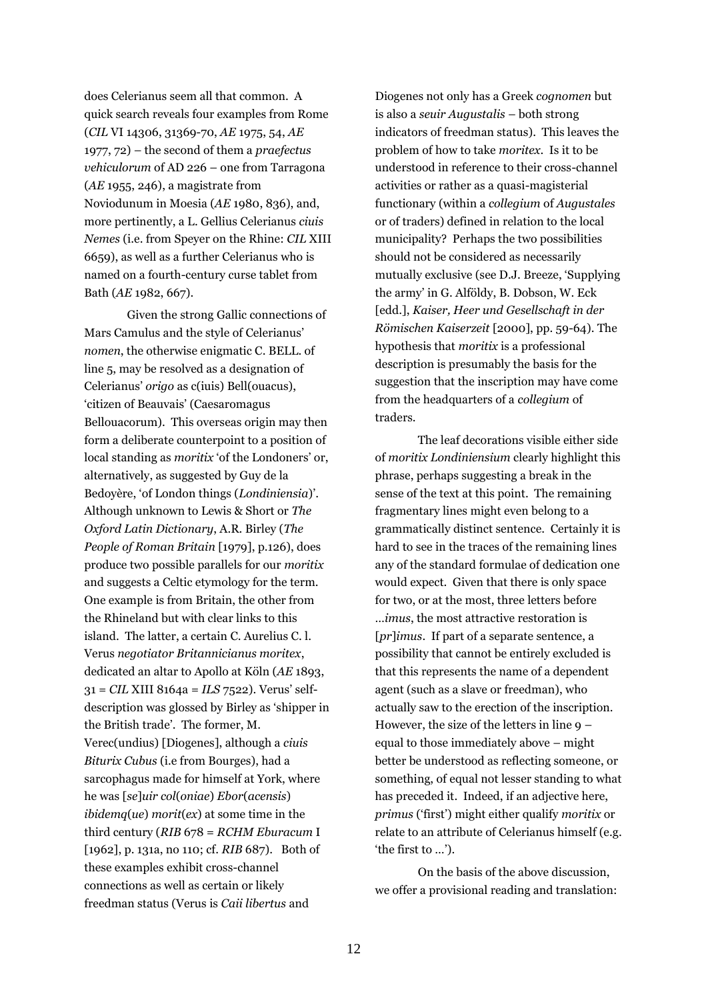does Celerianus seem all that common. A quick search reveals four examples from Rome (*CIL* VI 14306, 31369-70, *AE* 1975, 54, *AE*  1977, 72) – the second of them a *praefectus vehiculorum* of AD 226 – one from Tarragona (*AE* 1955, 246), a magistrate from Noviodunum in Moesia (*AE* 1980, 836), and, more pertinently, a L. Gellius Celerianus *ciuis Nemes* (i.e. from Speyer on the Rhine: *CIL* XIII 6659), as well as a further Celerianus who is named on a fourth-century curse tablet from Bath (*AE* 1982, 667).

Given the strong Gallic connections of Mars Camulus and the style of Celerianus' *nomen*, the otherwise enigmatic C. BELL. of line 5, may be resolved as a designation of Celerianus' *origo* as c(iuis) Bell(ouacus), 'citizen of Beauvais' (Caesaromagus Bellouacorum). This overseas origin may then form a deliberate counterpoint to a position of local standing as *moritix* 'of the Londoners' or, alternatively, as suggested by Guy de la Bedoyère, 'of London things (*Londiniensia*)'. Although unknown to Lewis & Short or *The Oxford Latin Dictionary*, A.R. Birley (*The People of Roman Britain* [1979], p.126), does produce two possible parallels for our *moritix* and suggests a Celtic etymology for the term. One example is from Britain, the other from the Rhineland but with clear links to this island. The latter, a certain C. Aurelius C. l. Verus *negotiator Britannicianus moritex*, dedicated an altar to Apollo at Köln (*AE* 1893, 31 = *CIL* XIII 8164a = *ILS* 7522). Verus' selfdescription was glossed by Birley as 'shipper in the British trade'. The former, M. Verec(undius) [Diogenes], although a *ciuis Biturix Cubus* (i.e from Bourges), had a sarcophagus made for himself at York, where he was [*se*]*uir col*(*oniae*) *Ebor*(*acensis*) *ibidemq*(*ue*) *morit*(*ex*) at some time in the third century (*RIB* 678 = *RCHM Eburacum* I [1962], p. 131a, no 110; cf. *RIB* 687). Both of these examples exhibit cross-channel connections as well as certain or likely freedman status (Verus is *Caii libertus* and

Diogenes not only has a Greek *cognomen* but is also a *seuir Augustalis* – both strong indicators of freedman status). This leaves the problem of how to take *moritex*. Is it to be understood in reference to their cross-channel activities or rather as a quasi-magisterial functionary (within a *collegium* of *Augustales* or of traders) defined in relation to the local municipality? Perhaps the two possibilities should not be considered as necessarily mutually exclusive (see D.J. Breeze, 'Supplying the army' in G. Alföldy, B. Dobson, W. Eck [edd.], *Kaiser, Heer und Gesellschaft in der Römischen Kaiserzeit* [2000], pp. 59-64). The hypothesis that *moritix* is a professional description is presumably the basis for the suggestion that the inscription may have come from the headquarters of a *collegium* of traders.

The leaf decorations visible either side of *moritix Londiniensium* clearly highlight this phrase, perhaps suggesting a break in the sense of the text at this point. The remaining fragmentary lines might even belong to a grammatically distinct sentence. Certainly it is hard to see in the traces of the remaining lines any of the standard formulae of dedication one would expect. Given that there is only space for two, or at the most, three letters before …*imus*, the most attractive restoration is [*pr*]*imus*. If part of a separate sentence, a possibility that cannot be entirely excluded is that this represents the name of a dependent agent (such as a slave or freedman), who actually saw to the erection of the inscription. However, the size of the letters in line 9 – equal to those immediately above – might better be understood as reflecting someone, or something, of equal not lesser standing to what has preceded it. Indeed, if an adjective here, *primus* ('first') might either qualify *moritix* or relate to an attribute of Celerianus himself (e.g. 'the first to …').

On the basis of the above discussion, we offer a provisional reading and translation: